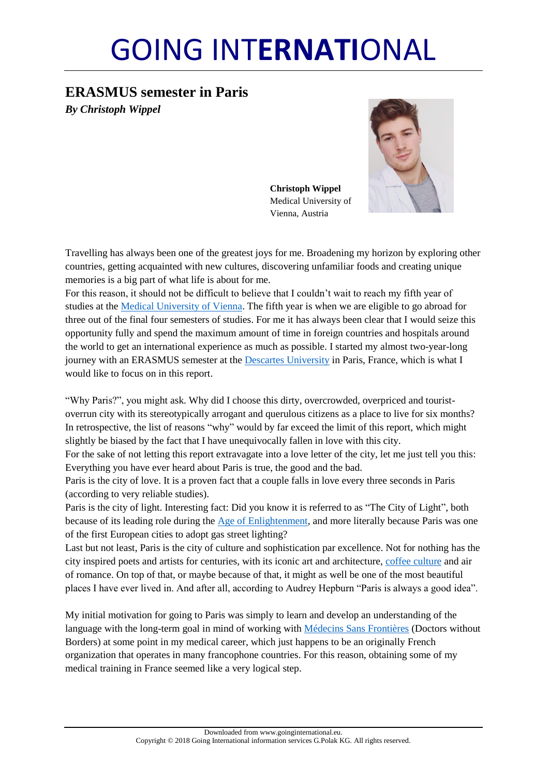# GOING INT**ERNATI**ONAL

## **ERASMUS semester in Paris** *By Christoph Wippel*

**Christoph Wippel** Medical University of Vienna, Austria



Travelling has always been one of the greatest joys for me. Broadening my horizon by exploring other countries, getting acquainted with new cultures, discovering unfamiliar foods and creating unique memories is a big part of what life is about for me.

For this reason, it should not be difficult to believe that I couldn't wait to reach my fifth year of studies at the [Medical University of Vienna.](https://www.meduniwien.ac.at/web/) The fifth year is when we are eligible to go abroad for three out of the final four semesters of studies. For me it has always been clear that I would seize this opportunity fully and spend the maximum amount of time in foreign countries and hospitals around the world to get an international experience as much as possible. I started my almost two-year-long journey with an ERASMUS semester at the [Descartes University](http://www.parisdescartes.fr/) in Paris, France, which is what I would like to focus on in this report.

"Why Paris?", you might ask. Why did I choose this dirty, overcrowded, overpriced and touristoverrun city with its stereotypically arrogant and querulous citizens as a place to live for six months? In retrospective, the list of reasons "why" would by far exceed the limit of this report, which might slightly be biased by the fact that I have unequivocally fallen in love with this city.

For the sake of not letting this report extravagate into a love letter of the city, let me just tell you this: Everything you have ever heard about Paris is true, the good and the bad.

Paris is the city of love. It is a proven fact that a couple falls in love every three seconds in Paris (according to very reliable studies).

Paris is the city of light. Interesting fact: Did you know it is referred to as "The City of Light", both because of its leading role during the [Age of Enlightenment,](http://www.history.com/topics/enlightenment) and more literally because Paris was one of the first European cities to adopt gas street lighting?

Last but not least, Paris is the city of culture and sophistication par excellence. Not for nothing has the city inspired poets and artists for centuries, with its iconic art and architecture, coffee [culture](http://cafedeflore.fr/) and air of romance. On top of that, or maybe because of that, it might as well be one of the most beautiful places I have ever lived in. And after all, according to Audrey Hepburn "Paris is always a good idea".

My initial motivation for going to Paris was simply to learn and develop an understanding of the language with the long-term goal in mind of working with [Médecins Sans Frontières](http://www.msf.org/) (Doctors without Borders) at some point in my medical career, which just happens to be an originally French organization that operates in many francophone countries. For this reason, obtaining some of my medical training in France seemed like a very logical step.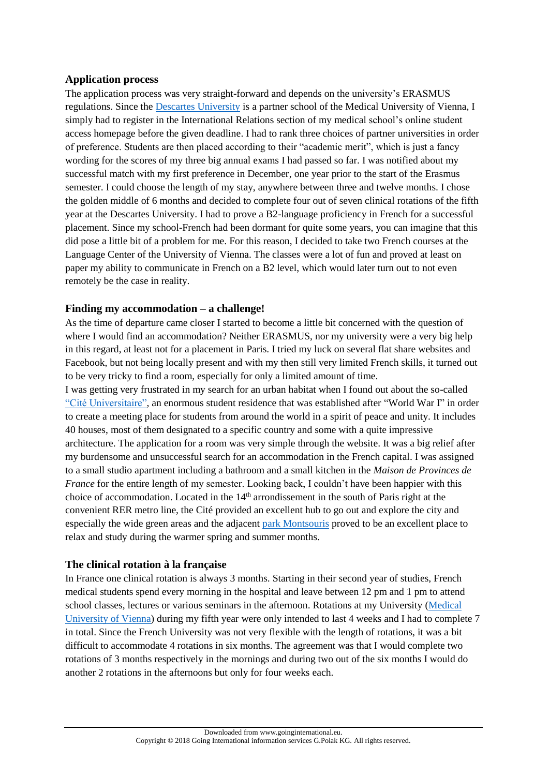### **Application process**

The application process was very straight-forward and depends on the university's ERASMUS regulations. Since the [Descartes University](http://www.parisdescartes.fr/) is a partner school of the Medical University of Vienna, I simply had to register in the International Relations section of my medical school's online student access homepage before the given deadline. I had to rank three choices of partner universities in order of preference. Students are then placed according to their "academic merit", which is just a fancy wording for the scores of my three big annual exams I had passed so far. I was notified about my successful match with my first preference in December, one year prior to the start of the Erasmus semester. I could choose the length of my stay, anywhere between three and twelve months. I chose the golden middle of 6 months and decided to complete four out of seven clinical rotations of the fifth year at the Descartes University. I had to prove a B2-language proficiency in French for a successful placement. Since my school-French had been dormant for quite some years, you can imagine that this did pose a little bit of a problem for me. For this reason, I decided to take two French courses at the Language Center of the University of Vienna. The classes were a lot of fun and proved at least on paper my ability to communicate in French on a B2 level, which would later turn out to not even remotely be the case in reality.

## **Finding my accommodation – a challenge!**

As the time of departure came closer I started to become a little bit concerned with the question of where I would find an accommodation? Neither ERASMUS, nor my university were a very big help in this regard, at least not for a placement in Paris. I tried my luck on several flat share websites and Facebook, but not being locally present and with my then still very limited French skills, it turned out to be very tricky to find a room, especially for only a limited amount of time.

I was getting very frustrated in my search for an urban habitat when I found out about the so-called ["Cité Universitaire",](http://www.ciup.fr/en/) an enormous student residence that was established after "World War I" in order to create a meeting place for students from around the world in a spirit of peace and unity. It includes 40 houses, most of them designated to a specific country and some with a quite impressive architecture. The application for a room was very simple through the website. It was a big relief after my burdensome and unsuccessful search for an accommodation in the French capital. I was assigned to a small studio apartment including a bathroom and a small kitchen in the *Maison de Provinces de France* for the entire length of my semester. Looking back, I couldn't have been happier with this choice of accommodation. Located in the 14<sup>th</sup> arrondissement in the south of Paris right at the convenient RER metro line, the Cité provided an excellent hub to go out and explore the city and especially the wide green areas and the adjacent [park Montsouris](https://en.wikipedia.org/wiki/Parc_Montsouris) proved to be an excellent place to relax and study during the warmer spring and summer months.

#### **The clinical rotation à [la](https://de.pons.com/%C3%BCbersetzung/franz%C3%B6sisch-deutsch/la) [française](https://de.pons.com/%C3%BCbersetzung/franz%C3%B6sisch-deutsch/fran%C3%A7aise)**

In France one clinical rotation is always 3 months. Starting in their second year of studies, French medical students spend every morning in the hospital and leave between 12 pm and 1 pm to attend school classes, lectures or various seminars in the afternoon. Rotations at my University [\(Medical](https://www.meduniwien.ac.at/web/)  [University of Vienna\)](https://www.meduniwien.ac.at/web/) during my fifth year were only intended to last 4 weeks and I had to complete 7 in total. Since the French University was not very flexible with the length of rotations, it was a bit difficult to accommodate 4 rotations in six months. The agreement was that I would complete two rotations of 3 months respectively in the mornings and during two out of the six months I would do another 2 rotations in the afternoons but only for four weeks each.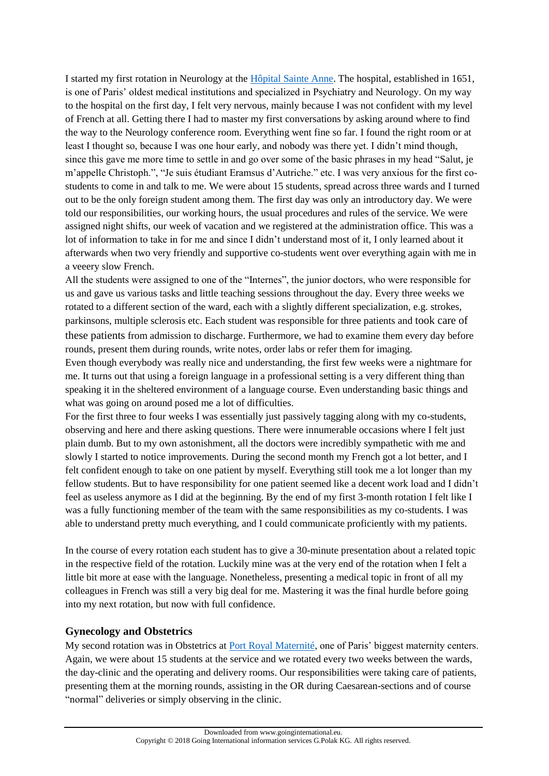I started my first rotation in Neurology at the [Hôpital Sainte Anne.](http://www.ch-sainte-anne.fr/) The hospital, established in 1651, is one of Paris' oldest medical institutions and specialized in Psychiatry and Neurology. On my way to the hospital on the first day, I felt very nervous, mainly because I was not confident with my level of French at all. Getting there I had to master my first conversations by asking around where to find the way to the Neurology conference room. Everything went fine so far. I found the right room or at least I thought so, because I was one hour early, and nobody was there yet. I didn't mind though, since this gave me more time to settle in and go over some of the basic phrases in my head "Salut, je m'appelle Christoph.", "Je suis étudiant Eramsus d'Autriche." etc. I was very anxious for the first costudents to come in and talk to me. We were about 15 students, spread across three wards and I turned out to be the only foreign student among them. The first day was only an introductory day. We were told our responsibilities, our working hours, the usual procedures and rules of the service. We were assigned night shifts, our week of vacation and we registered at the administration office. This was a lot of information to take in for me and since I didn't understand most of it, I only learned about it afterwards when two very friendly and supportive co-students went over everything again with me in a veeery slow French.

All the students were assigned to one of the "Internes", the junior doctors, who were responsible for us and gave us various tasks and little teaching sessions throughout the day. Every three weeks we rotated to a different section of the ward, each with a slightly different specialization, e.g. strokes, parkinsons, multiple sclerosis etc. Each student was responsible for three patients and took care of these patients from admission to discharge. Furthermore, we had to examine them every day before rounds, present them during rounds, write notes, order labs or refer them for imaging.

Even though everybody was really nice and understanding, the first few weeks were a nightmare for me. It turns out that using a foreign language in a professional setting is a very different thing than speaking it in the sheltered environment of a language course. Even understanding basic things and what was going on around posed me a lot of difficulties.

For the first three to four weeks I was essentially just passively tagging along with my co-students, observing and here and there asking questions. There were innumerable occasions where I felt just plain dumb. But to my own astonishment, all the doctors were incredibly sympathetic with me and slowly I started to notice improvements. During the second month my French got a lot better, and I felt confident enough to take on one patient by myself. Everything still took me a lot longer than my fellow students. But to have responsibility for one patient seemed like a decent work load and I didn't feel as useless anymore as I did at the beginning. By the end of my first 3-month rotation I felt like I was a fully functioning member of the team with the same responsibilities as my co-students. I was able to understand pretty much everything, and I could communicate proficiently with my patients.

In the course of every rotation each student has to give a 30-minute presentation about a related topic in the respective field of the rotation. Luckily mine was at the very end of the rotation when I felt a little bit more at ease with the language. Nonetheless, presenting a medical topic in front of all my colleagues in French was still a very big deal for me. Mastering it was the final hurdle before going into my next rotation, but now with full confidence.

#### **Gynecology and Obstetrics**

My second rotation was in Obstetrics at [Port Royal Maternité,](http://www.materniteportroyal.fr/) one of Paris' biggest maternity centers. Again, we were about 15 students at the service and we rotated every two weeks between the wards, the day-clinic and the operating and delivery rooms. Our responsibilities were taking care of patients, presenting them at the morning rounds, assisting in the OR during Caesarean-sections and of course "normal" deliveries or simply observing in the clinic.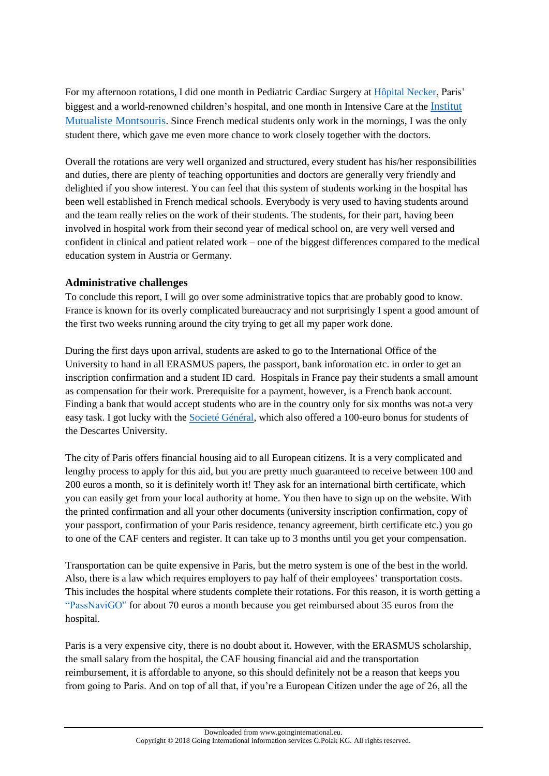For my afternoon rotations, I did one month in Pediatric Cardiac Surgery at [Hôpital Necker,](http://hopital-necker.aphp.fr/) Paris' biggest and a world-renowned children's hospital, and one month in Intensive Care at the [Institut](https://imm.fr/)  [Mutualiste Montsouris](https://imm.fr/). Since French medical students only work in the mornings, I was the only student there, which gave me even more chance to work closely together with the doctors.

Overall the rotations are very well organized and structured, every student has his/her responsibilities and duties, there are plenty of teaching opportunities and doctors are generally very friendly and delighted if you show interest. You can feel that this system of students working in the hospital has been well established in French medical schools. Everybody is very used to having students around and the team really relies on the work of their students. The students, for their part, having been involved in hospital work from their second year of medical school on, are very well versed and confident in clinical and patient related work – one of the biggest differences compared to the medical education system in Austria or Germany.

## **Administrative challenges**

To conclude this report, I will go over some administrative topics that are probably good to know. France is known for its overly complicated bureaucracy and not surprisingly I spent a good amount of the first two weeks running around the city trying to get all my paper work done.

During the first days upon arrival, students are asked to go to the International Office of the University to hand in all ERASMUS papers, the passport, bank information etc. in order to get an inscription confirmation and a student ID card. Hospitals in France pay their students a small amount as compensation for their work. Prerequisite for a payment, however, is a French bank account. Finding a bank that would accept students who are in the country only for six months was not a very easy task. I got lucky with the [Societé Général,](https://www.societegenerale.com/) which also offered a 100-euro bonus for students of the Descartes University.

The city of Paris offers financial housing aid to all European citizens. It is a very complicated and lengthy process to apply for this aid, but you are pretty much guaranteed to receive between 100 and 200 euros a month, so it is definitely worth it! They ask for an international birth certificate, which you can easily get from your local authority at home. You then have to sign up on the website. With the printed confirmation and all your other documents (university inscription confirmation, copy of your passport, confirmation of your Paris residence, tenancy agreement, birth certificate etc.) you go to one of the CAF centers and register. It can take up to 3 months until you get your compensation.

Transportation can be quite expensive in Paris, but the metro system is one of the best in the world. Also, there is a law which requires employers to pay half of their employees' transportation costs. This includes the hospital where students complete their rotations. For this reason, it is worth getting a ["PassNaviGO"](https://www.ratp.fr/en/titres-et-tarifs/navigo-monthly-and-weekly-travel-passes) for about 70 euros a month because you get reimbursed about 35 euros from the hospital.

Paris is a very expensive city, there is no doubt about it. However, with the ERASMUS scholarship, the small salary from the hospital, the CAF housing financial aid and the transportation reimbursement, it is affordable to anyone, so this should definitely not be a reason that keeps you from going to Paris. And on top of all that, if you're a European Citizen under the age of 26, all the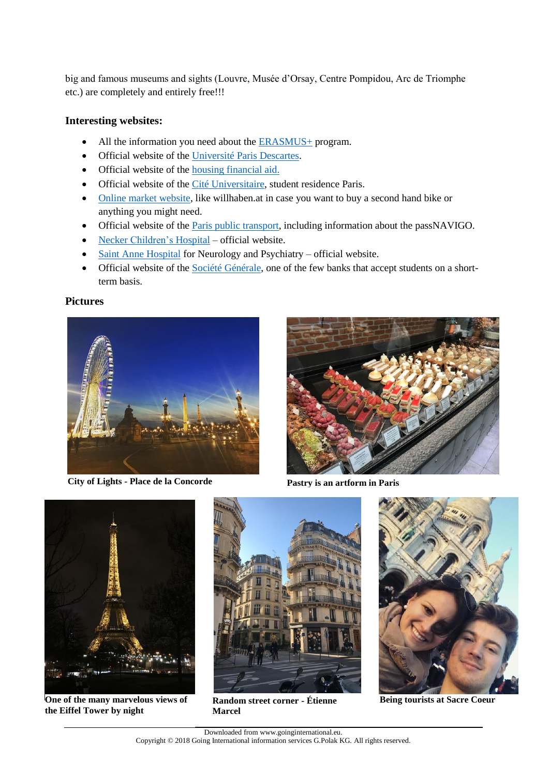big and famous museums and sights (Louvre, Musée d'Orsay, Centre Pompidou, Arc de Triomphe etc.) are completely and entirely free!!!

#### **Interesting websites:**

- All the information you need about the [ERASMUS+](https://erasmusplus.at/) program.
- Official website of the [Université Paris Descartes.](https://www.univ-paris5.fr/)
- Official website of the [housing financial aid.](https://www.caf.fr/)
- Official website of the [Cité Universitaire,](http://www.ciup.fr/en/) student residence Paris.
- [Online market website,](https://www.leboncoin.fr/) like willhaben.at in case you want to buy a second hand bike or anything you might need.
- Official website of the *Paris public transport*, including information about the passNAVIGO.
- [Necker Children's Hospital](http://hopital-necker.aphp.fr/) official website.
- [Saint Anne Hospital](http://www.ch-sainte-anne.fr/) for Neurology and Psychiatry official website.
- Official website of the [Société Générale,](https://www.societegenerale.com/) one of the few banks that accept students on a shortterm basis.

#### **Pictures**



**City of Lights - Place de la Concorde**



**Pastry is an artform in Paris**



**One of the many marvelous views of the Eiffel Tower by night**



**Marcel**



**Random street corner - Étienne Being tourists at Sacre Coeur**